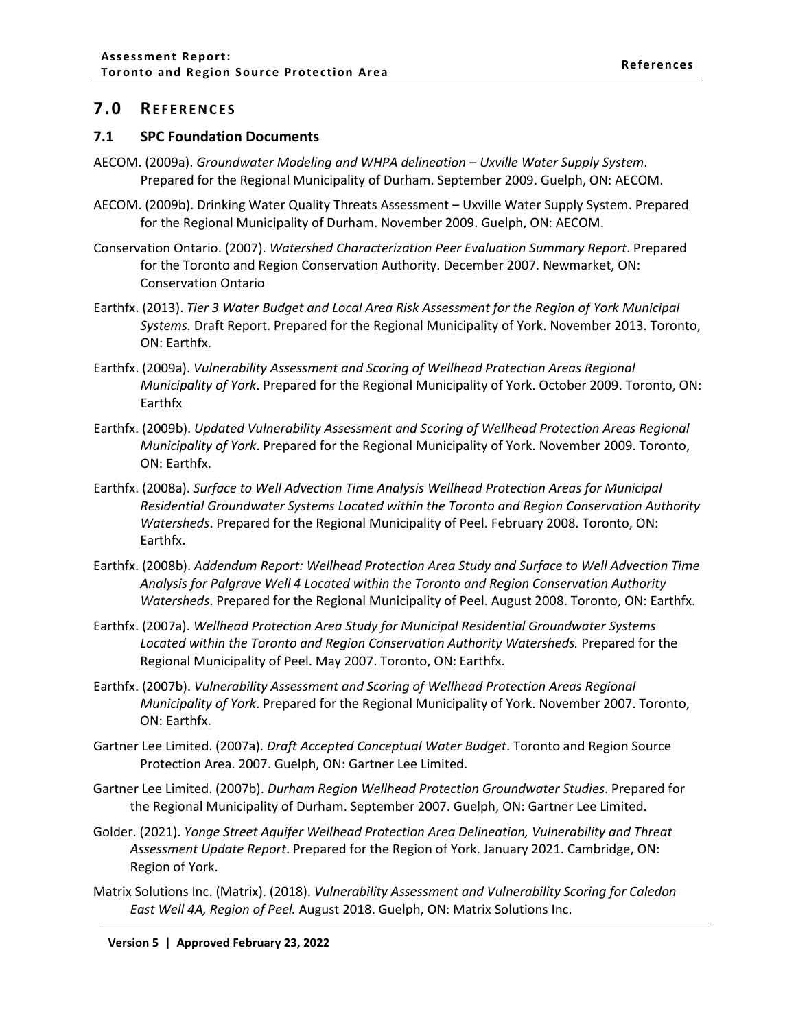## <span id="page-1-0"></span>**7.0 REFERENCES**

## <span id="page-1-1"></span>**7.1 SPC Foundation Documents**

- AECOM. (2009a). *Groundwater Modeling and WHPA delineation – Uxville Water Supply System*. Prepared for the Regional Municipality of Durham. September 2009. Guelph, ON: AECOM.
- AECOM. (2009b). Drinking Water Quality Threats Assessment Uxville Water Supply System. Prepared for the Regional Municipality of Durham. November 2009. Guelph, ON: AECOM.
- Conservation Ontario. (2007). *Watershed Characterization Peer Evaluation Summary Report*. Prepared for the Toronto and Region Conservation Authority. December 2007. Newmarket, ON: Conservation Ontario
- Earthfx. (2013). *Tier 3 Water Budget and Local Area Risk Assessment for the Region of York Municipal Systems.* Draft Report. Prepared for the Regional Municipality of York. November 2013. Toronto, ON: Earthfx.
- Earthfx. (2009a). *Vulnerability Assessment and Scoring of Wellhead Protection Areas Regional Municipality of York*. Prepared for the Regional Municipality of York. October 2009. Toronto, ON: Earthfx
- Earthfx. (2009b). *Updated Vulnerability Assessment and Scoring of Wellhead Protection Areas Regional Municipality of York*. Prepared for the Regional Municipality of York. November 2009. Toronto, ON: Earthfx.
- Earthfx. (2008a). *Surface to Well Advection Time Analysis Wellhead Protection Areas for Municipal Residential Groundwater Systems Located within the Toronto and Region Conservation Authority Watersheds*. Prepared for the Regional Municipality of Peel. February 2008. Toronto, ON: Earthfx.
- Earthfx. (2008b). *Addendum Report: Wellhead Protection Area Study and Surface to Well Advection Time Analysis for Palgrave Well 4 Located within the Toronto and Region Conservation Authority Watersheds*. Prepared for the Regional Municipality of Peel. August 2008. Toronto, ON: Earthfx.
- Earthfx. (2007a). *Wellhead Protection Area Study for Municipal Residential Groundwater Systems Located within the Toronto and Region Conservation Authority Watersheds.* Prepared for the Regional Municipality of Peel. May 2007. Toronto, ON: Earthfx.
- Earthfx. (2007b). *Vulnerability Assessment and Scoring of Wellhead Protection Areas Regional Municipality of York*. Prepared for the Regional Municipality of York. November 2007. Toronto, ON: Earthfx.
- Gartner Lee Limited. (2007a). *Draft Accepted Conceptual Water Budget*. Toronto and Region Source Protection Area. 2007. Guelph, ON: Gartner Lee Limited.
- Gartner Lee Limited. (2007b). *Durham Region Wellhead Protection Groundwater Studies*. Prepared for the Regional Municipality of Durham. September 2007. Guelph, ON: Gartner Lee Limited.
- Golder. (2021). *Yonge Street Aquifer Wellhead Protection Area Delineation, Vulnerability and Threat Assessment Update Report*. Prepared for the Region of York. January 2021. Cambridge, ON: Region of York.
- Matrix Solutions Inc. (Matrix). (2018). *Vulnerability Assessment and Vulnerability Scoring for Caledon East Well 4A, Region of Peel.* August 2018. Guelph, ON: Matrix Solutions Inc.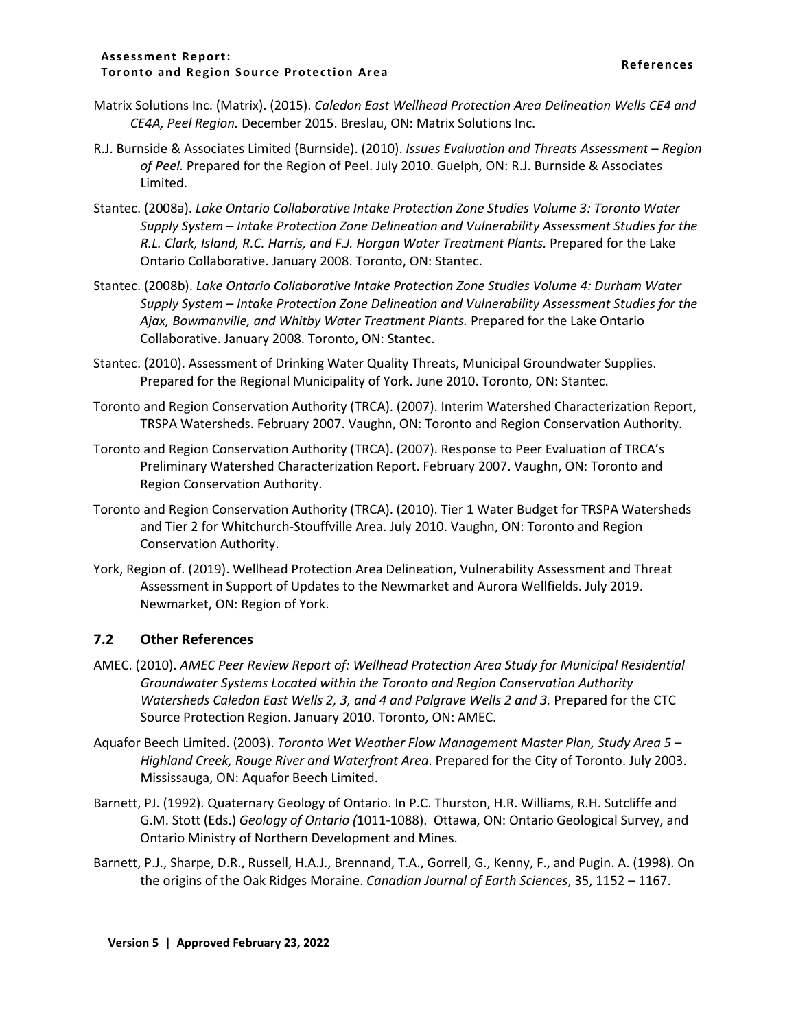- Matrix Solutions Inc. (Matrix). (2015). *Caledon East Wellhead Protection Area Delineation Wells CE4 and CE4A, Peel Region.* December 2015. Breslau, ON: Matrix Solutions Inc.
- R.J. Burnside & Associates Limited (Burnside). (2010). *Issues Evaluation and Threats Assessment Region of Peel.* Prepared for the Region of Peel. July 2010. Guelph, ON: R.J. Burnside & Associates Limited.
- Stantec. (2008a). *Lake Ontario Collaborative Intake Protection Zone Studies Volume 3: Toronto Water Supply System – Intake Protection Zone Delineation and Vulnerability Assessment Studies for the R.L. Clark, Island, R.C. Harris, and F.J. Horgan Water Treatment Plants.* Prepared for the Lake Ontario Collaborative. January 2008. Toronto, ON: Stantec.
- Stantec. (2008b). *Lake Ontario Collaborative Intake Protection Zone Studies Volume 4: Durham Water Supply System – Intake Protection Zone Delineation and Vulnerability Assessment Studies for the Ajax, Bowmanville, and Whitby Water Treatment Plants.* Prepared for the Lake Ontario Collaborative. January 2008. Toronto, ON: Stantec.
- Stantec. (2010). Assessment of Drinking Water Quality Threats, Municipal Groundwater Supplies. Prepared for the Regional Municipality of York. June 2010. Toronto, ON: Stantec.
- Toronto and Region Conservation Authority (TRCA). (2007). Interim Watershed Characterization Report, TRSPA Watersheds. February 2007. Vaughn, ON: Toronto and Region Conservation Authority.
- Toronto and Region Conservation Authority (TRCA). (2007). Response to Peer Evaluation of TRCA's Preliminary Watershed Characterization Report. February 2007. Vaughn, ON: Toronto and Region Conservation Authority.
- Toronto and Region Conservation Authority (TRCA). (2010). Tier 1 Water Budget for TRSPA Watersheds and Tier 2 for Whitchurch-Stouffville Area. July 2010. Vaughn, ON: Toronto and Region Conservation Authority.
- York, Region of. (2019). Wellhead Protection Area Delineation, Vulnerability Assessment and Threat Assessment in Support of Updates to the Newmarket and Aurora Wellfields. July 2019. Newmarket, ON: Region of York.

## <span id="page-2-0"></span>**7.2 Other References**

- AMEC. (2010). *AMEC Peer Review Report of: Wellhead Protection Area Study for Municipal Residential Groundwater Systems Located within the Toronto and Region Conservation Authority Watersheds Caledon East Wells 2, 3, and 4 and Palgrave Wells 2 and 3.* Prepared for the CTC Source Protection Region. January 2010. Toronto, ON: AMEC.
- Aquafor Beech Limited. (2003). *Toronto Wet Weather Flow Management Master Plan, Study Area 5 – Highland Creek, Rouge River and Waterfront Area*. Prepared for the City of Toronto. July 2003. Mississauga, ON: Aquafor Beech Limited.
- Barnett, PJ. (1992). Quaternary Geology of Ontario. In P.C. Thurston, H.R. Williams, R.H. Sutcliffe and G.M. Stott (Eds.) *Geology of Ontario (*1011-1088). Ottawa, ON: Ontario Geological Survey, and Ontario Ministry of Northern Development and Mines.
- Barnett, P.J., Sharpe, D.R., Russell, H.A.J., Brennand, T.A., Gorrell, G., Kenny, F., and Pugin. A. (1998). On the origins of the Oak Ridges Moraine. *Canadian Journal of Earth Sciences*, 35, 1152 – 1167.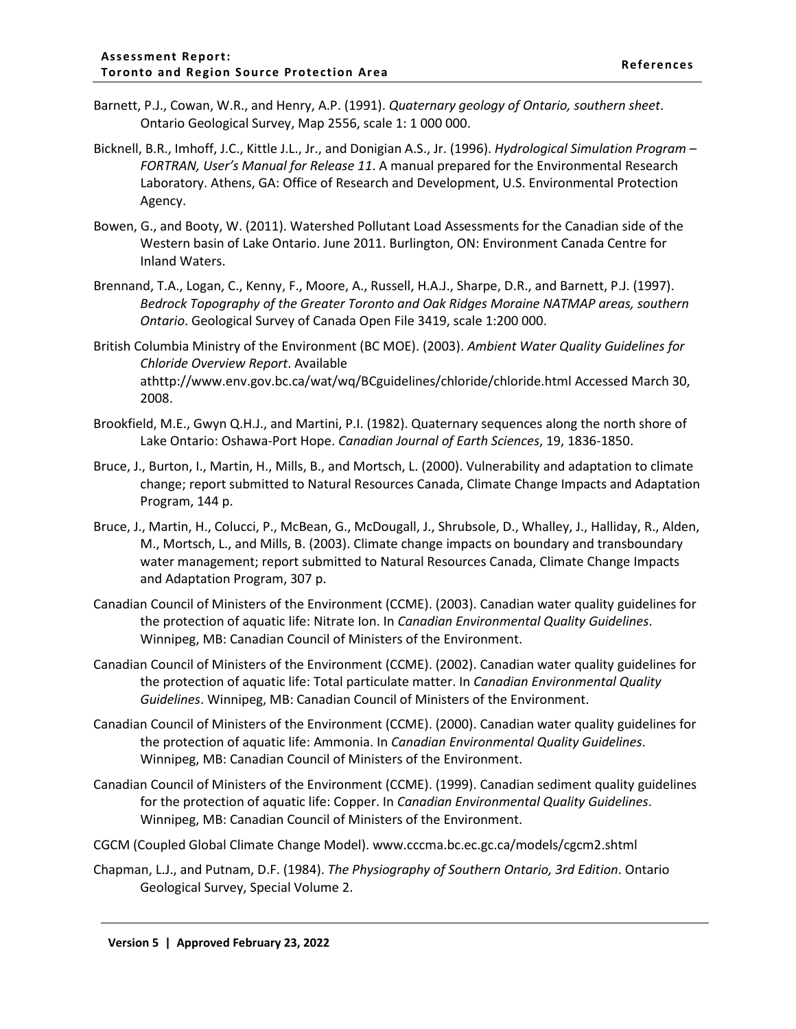- Barnett, P.J., Cowan, W.R., and Henry, A.P. (1991). *Quaternary geology of Ontario, southern sheet*. Ontario Geological Survey, Map 2556, scale 1: 1 000 000.
- Bicknell, B.R., Imhoff, J.C., Kittle J.L., Jr., and Donigian A.S., Jr. (1996). *Hydrological Simulation Program – FORTRAN, User's Manual for Release 11*. A manual prepared for the Environmental Research Laboratory. Athens, GA: Office of Research and Development, U.S. Environmental Protection Agency.
- Bowen, G., and Booty, W. (2011). Watershed Pollutant Load Assessments for the Canadian side of the Western basin of Lake Ontario. June 2011. Burlington, ON: Environment Canada Centre for Inland Waters.
- Brennand, T.A., Logan, C., Kenny, F., Moore, A., Russell, H.A.J., Sharpe, D.R., and Barnett, P.J. (1997). *Bedrock Topography of the Greater Toronto and Oak Ridges Moraine NATMAP areas, southern Ontario*. Geological Survey of Canada Open File 3419, scale 1:200 000.
- British Columbia Ministry of the Environment (BC MOE). (2003). *Ambient Water Quality Guidelines for Chloride Overview Report*. Available athttp://www.env.gov.bc.ca/wat/wq/BCguidelines/chloride/chloride.html Accessed March 30, 2008.
- Brookfield, M.E., Gwyn Q.H.J., and Martini, P.I. (1982). Quaternary sequences along the north shore of Lake Ontario: Oshawa-Port Hope. *Canadian Journal of Earth Sciences*, 19, 1836-1850.
- Bruce, J., Burton, I., Martin, H., Mills, B., and Mortsch, L. (2000). Vulnerability and adaptation to climate change; report submitted to Natural Resources Canada, Climate Change Impacts and Adaptation Program, 144 p.
- Bruce, J., Martin, H., Colucci, P., McBean, G., McDougall, J., Shrubsole, D., Whalley, J., Halliday, R., Alden, M., Mortsch, L., and Mills, B. (2003). Climate change impacts on boundary and transboundary water management; report submitted to Natural Resources Canada, Climate Change Impacts and Adaptation Program, 307 p.
- Canadian Council of Ministers of the Environment (CCME). (2003). Canadian water quality guidelines for the protection of aquatic life: Nitrate Ion. In *Canadian Environmental Quality Guidelines*. Winnipeg, MB: Canadian Council of Ministers of the Environment.
- Canadian Council of Ministers of the Environment (CCME). (2002). Canadian water quality guidelines for the protection of aquatic life: Total particulate matter. In *Canadian Environmental Quality Guidelines*. Winnipeg, MB: Canadian Council of Ministers of the Environment.
- Canadian Council of Ministers of the Environment (CCME). (2000). Canadian water quality guidelines for the protection of aquatic life: Ammonia. In *Canadian Environmental Quality Guidelines*. Winnipeg, MB: Canadian Council of Ministers of the Environment.
- Canadian Council of Ministers of the Environment (CCME). (1999). Canadian sediment quality guidelines for the protection of aquatic life: Copper. In *Canadian Environmental Quality Guidelines*. Winnipeg, MB: Canadian Council of Ministers of the Environment.
- CGCM (Coupled Global Climate Change Model). www.cccma.bc.ec.gc.ca/models/cgcm2.shtml
- Chapman, L.J., and Putnam, D.F. (1984). *The Physiography of Southern Ontario, 3rd Edition*. Ontario Geological Survey, Special Volume 2.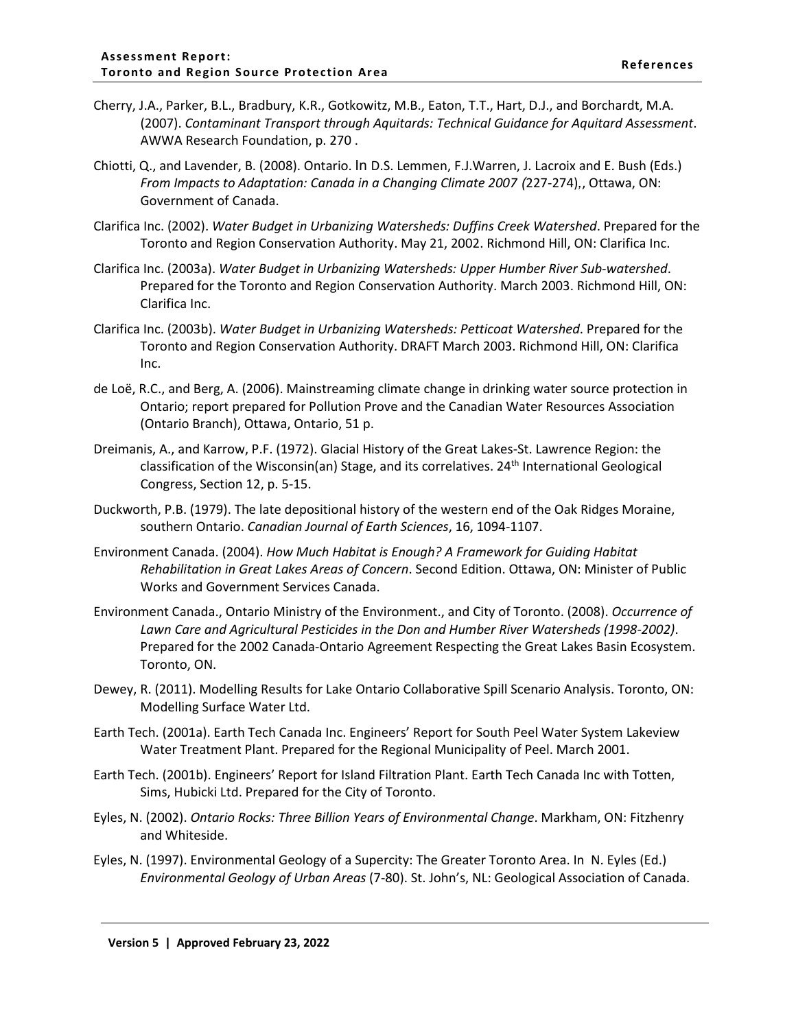- Cherry, J.A., Parker, B.L., Bradbury, K.R., Gotkowitz, M.B., Eaton, T.T., Hart, D.J., and Borchardt, M.A. (2007). *Contaminant Transport through Aquitards: Technical Guidance for Aquitard Assessment*. AWWA Research Foundation, p. 270 .
- Chiotti, Q., and Lavender, B. (2008). Ontario. In D.S. Lemmen, F.J.Warren, J. Lacroix and E. Bush (Eds.) *From Impacts to Adaptation: Canada in a Changing Climate 2007 (*227-274)*,*, Ottawa, ON: Government of Canada.
- Clarifica Inc. (2002). *Water Budget in Urbanizing Watersheds: Duffins Creek Watershed*. Prepared for the Toronto and Region Conservation Authority. May 21, 2002. Richmond Hill, ON: Clarifica Inc.
- Clarifica Inc. (2003a). *Water Budget in Urbanizing Watersheds: Upper Humber River Sub-watershed*. Prepared for the Toronto and Region Conservation Authority. March 2003. Richmond Hill, ON: Clarifica Inc.
- Clarifica Inc. (2003b). *Water Budget in Urbanizing Watersheds: Petticoat Watershed*. Prepared for the Toronto and Region Conservation Authority. DRAFT March 2003. Richmond Hill, ON: Clarifica Inc.
- de Loë, R.C., and Berg, A. (2006). Mainstreaming climate change in drinking water source protection in Ontario; report prepared for Pollution Prove and the Canadian Water Resources Association (Ontario Branch), Ottawa, Ontario, 51 p.
- Dreimanis, A., and Karrow, P.F. (1972). Glacial History of the Great Lakes-St. Lawrence Region: the classification of the Wisconsin(an) Stage, and its correlatives. 24<sup>th</sup> International Geological Congress, Section 12, p. 5-15.
- Duckworth, P.B. (1979). The late depositional history of the western end of the Oak Ridges Moraine, southern Ontario. *Canadian Journal of Earth Sciences*, 16, 1094-1107.
- Environment Canada. (2004). *How Much Habitat is Enough? A Framework for Guiding Habitat Rehabilitation in Great Lakes Areas of Concern*. Second Edition. Ottawa, ON: Minister of Public Works and Government Services Canada.
- Environment Canada., Ontario Ministry of the Environment., and City of Toronto. (2008). *Occurrence of Lawn Care and Agricultural Pesticides in the Don and Humber River Watersheds (1998-2002)*. Prepared for the 2002 Canada-Ontario Agreement Respecting the Great Lakes Basin Ecosystem. Toronto, ON.
- Dewey, R. (2011). Modelling Results for Lake Ontario Collaborative Spill Scenario Analysis. Toronto, ON: Modelling Surface Water Ltd.
- Earth Tech. (2001a). Earth Tech Canada Inc. Engineers' Report for South Peel Water System Lakeview Water Treatment Plant. Prepared for the Regional Municipality of Peel. March 2001.
- Earth Tech. (2001b). Engineers' Report for Island Filtration Plant. Earth Tech Canada Inc with Totten, Sims, Hubicki Ltd. Prepared for the City of Toronto.
- Eyles, N. (2002). *Ontario Rocks: Three Billion Years of Environmental Change*. Markham, ON: Fitzhenry and Whiteside.
- Eyles, N. (1997). Environmental Geology of a Supercity: The Greater Toronto Area. In N. Eyles (Ed.) *Environmental Geology of Urban Areas* (7-80). St. John's, NL: Geological Association of Canada.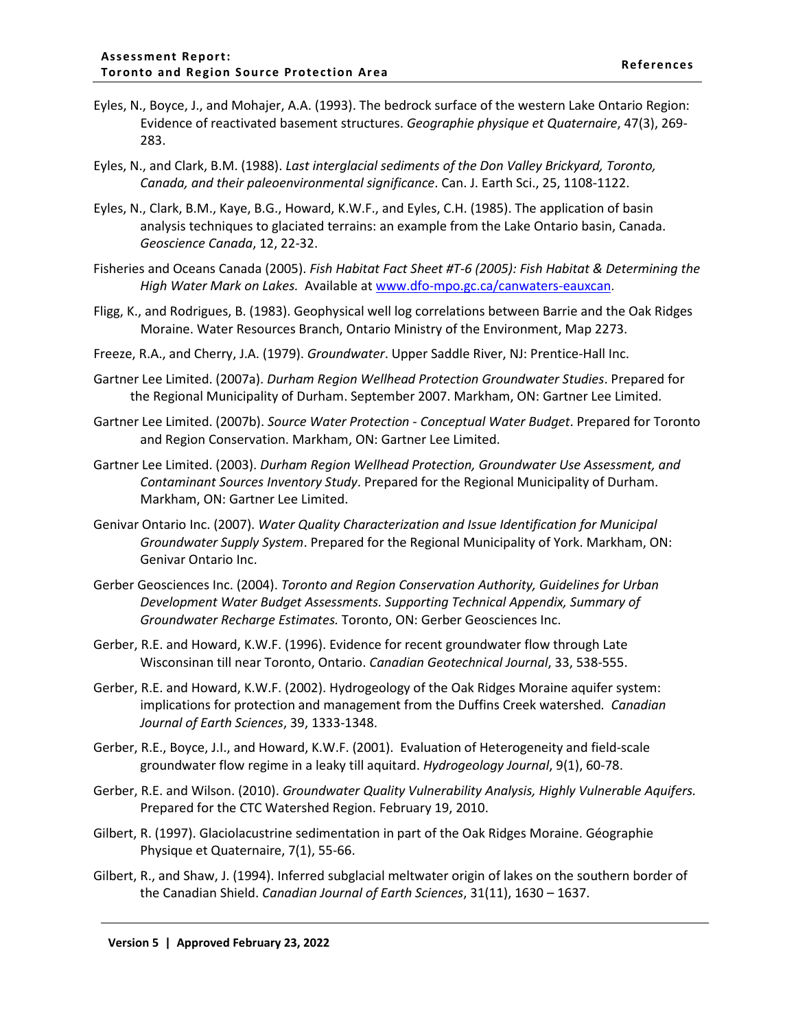- Eyles, N., Boyce, J., and Mohajer, A.A. (1993). The bedrock surface of the western Lake Ontario Region: Evidence of reactivated basement structures. *Geographie physique et Quaternaire*, 47(3), 269- 283.
- Eyles, N., and Clark, B.M. (1988). *Last interglacial sediments of the Don Valley Brickyard, Toronto, Canada, and their paleoenvironmental significance*. Can. J. Earth Sci., 25, 1108-1122.
- Eyles, N., Clark, B.M., Kaye, B.G., Howard, K.W.F., and Eyles, C.H. (1985). The application of basin analysis techniques to glaciated terrains: an example from the Lake Ontario basin, Canada. *Geoscience Canada*, 12, 22-32.
- Fisheries and Oceans Canada (2005). *Fish Habitat Fact Sheet #T-6 (2005): Fish Habitat & Determining the High Water Mark on Lakes.* Available at [www.dfo-mpo.gc.ca/canwaters-eauxcan.](http://www.dfo-mpo.gc.ca/canwaters-eauxcan)
- Fligg, K., and Rodrigues, B. (1983). Geophysical well log correlations between Barrie and the Oak Ridges Moraine. Water Resources Branch, Ontario Ministry of the Environment, Map 2273.
- Freeze, R.A., and Cherry, J.A. (1979). *Groundwater*. Upper Saddle River, NJ: Prentice-Hall Inc.
- Gartner Lee Limited. (2007a). *Durham Region Wellhead Protection Groundwater Studies*. Prepared for the Regional Municipality of Durham. September 2007. Markham, ON: Gartner Lee Limited.
- Gartner Lee Limited. (2007b). *Source Water Protection Conceptual Water Budget*. Prepared for Toronto and Region Conservation. Markham, ON: Gartner Lee Limited.
- Gartner Lee Limited. (2003). *Durham Region Wellhead Protection, Groundwater Use Assessment, and Contaminant Sources Inventory Study*. Prepared for the Regional Municipality of Durham. Markham, ON: Gartner Lee Limited.
- Genivar Ontario Inc. (2007). *Water Quality Characterization and Issue Identification for Municipal Groundwater Supply System*. Prepared for the Regional Municipality of York. Markham, ON: Genivar Ontario Inc.
- Gerber Geosciences Inc. (2004). *Toronto and Region Conservation Authority, Guidelines for Urban Development Water Budget Assessments. Supporting Technical Appendix, Summary of Groundwater Recharge Estimates.* Toronto, ON: Gerber Geosciences Inc.
- Gerber, R.E. and Howard, K.W.F. (1996). Evidence for recent groundwater flow through Late Wisconsinan till near Toronto, Ontario. *Canadian Geotechnical Journal*, 33, 538-555.
- Gerber, R.E. and Howard, K.W.F. (2002). Hydrogeology of the Oak Ridges Moraine aquifer system: implications for protection and management from the Duffins Creek watershed*. Canadian Journal of Earth Sciences*, 39, 1333-1348.
- Gerber, R.E., Boyce, J.I., and Howard, K.W.F. (2001). Evaluation of Heterogeneity and field-scale groundwater flow regime in a leaky till aquitard. *Hydrogeology Journal*, 9(1), 60-78.
- Gerber, R.E. and Wilson. (2010). *Groundwater Quality Vulnerability Analysis, Highly Vulnerable Aquifers.* Prepared for the CTC Watershed Region. February 19, 2010.
- Gilbert, R. (1997). Glaciolacustrine sedimentation in part of the Oak Ridges Moraine. Géographie Physique et Quaternaire, 7(1), 55-66.
- Gilbert, R., and Shaw, J. (1994). Inferred subglacial meltwater origin of lakes on the southern border of the Canadian Shield. *Canadian Journal of Earth Sciences*, 31(11), 1630 – 1637.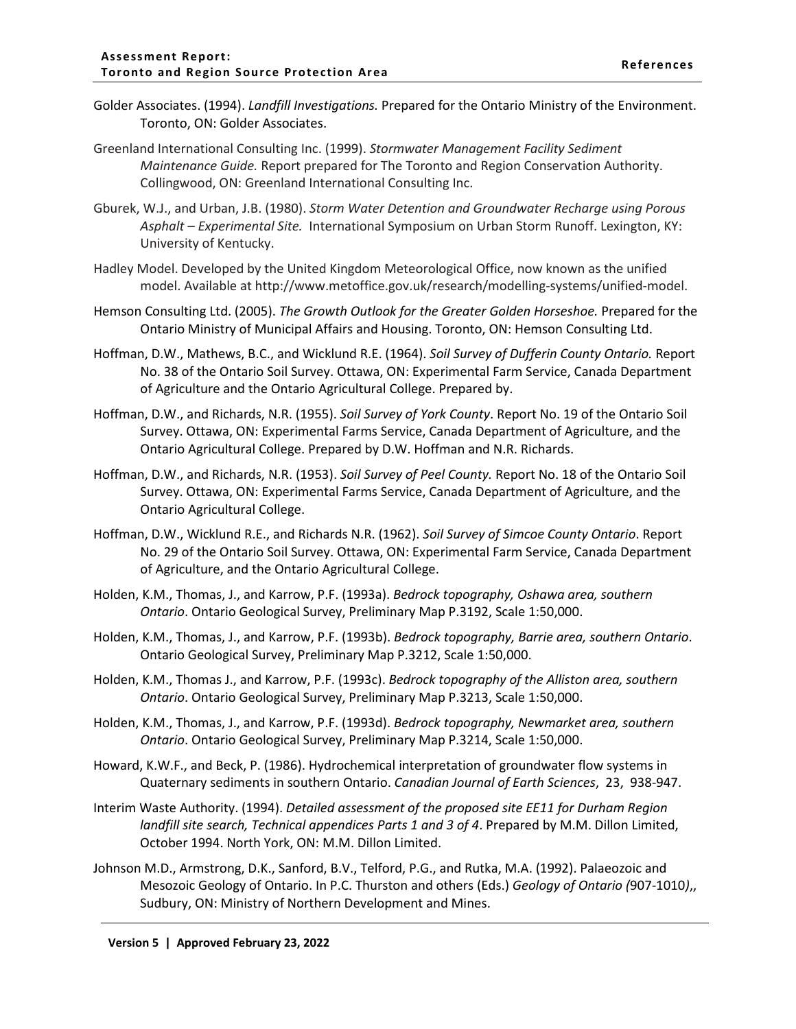- Golder Associates. (1994). *Landfill Investigations.* Prepared for the Ontario Ministry of the Environment. Toronto, ON: Golder Associates.
- Greenland International Consulting Inc. (1999). *Stormwater Management Facility Sediment Maintenance Guide.* Report prepared for The Toronto and Region Conservation Authority. Collingwood, ON: Greenland International Consulting Inc.
- Gburek, W.J., and Urban, J.B. (1980). *Storm Water Detention and Groundwater Recharge using Porous Asphalt – Experimental Site.* International Symposium on Urban Storm Runoff. Lexington, KY: University of Kentucky.
- Hadley Model. Developed by the United Kingdom Meteorological Office, now known as the unified model. Available at http://www.metoffice.gov.uk/research/modelling-systems/unified-model.
- Hemson Consulting Ltd. (2005). *The Growth Outlook for the Greater Golden Horseshoe.* Prepared for the Ontario Ministry of Municipal Affairs and Housing. Toronto, ON: Hemson Consulting Ltd.
- Hoffman, D.W., Mathews, B.C., and Wicklund R.E. (1964). *Soil Survey of Dufferin County Ontario.* Report No. 38 of the Ontario Soil Survey. Ottawa, ON: Experimental Farm Service, Canada Department of Agriculture and the Ontario Agricultural College. Prepared by.
- Hoffman, D.W., and Richards, N.R. (1955). *Soil Survey of York County*. Report No. 19 of the Ontario Soil Survey. Ottawa, ON: Experimental Farms Service, Canada Department of Agriculture, and the Ontario Agricultural College. Prepared by D.W. Hoffman and N.R. Richards.
- Hoffman, D.W., and Richards, N.R. (1953). *Soil Survey of Peel County.* Report No. 18 of the Ontario Soil Survey. Ottawa, ON: Experimental Farms Service, Canada Department of Agriculture, and the Ontario Agricultural College.
- Hoffman, D.W., Wicklund R.E., and Richards N.R. (1962). *Soil Survey of Simcoe County Ontario*. Report No. 29 of the Ontario Soil Survey. Ottawa, ON: Experimental Farm Service, Canada Department of Agriculture, and the Ontario Agricultural College.
- Holden, K.M., Thomas, J., and Karrow, P.F. (1993a). *Bedrock topography, Oshawa area, southern Ontario*. Ontario Geological Survey, Preliminary Map P.3192, Scale 1:50,000.
- Holden, K.M., Thomas, J., and Karrow, P.F. (1993b). *Bedrock topography, Barrie area, southern Ontario*. Ontario Geological Survey, Preliminary Map P.3212, Scale 1:50,000.
- Holden, K.M., Thomas J., and Karrow, P.F. (1993c). *Bedrock topography of the Alliston area, southern Ontario*. Ontario Geological Survey, Preliminary Map P.3213, Scale 1:50,000.
- Holden, K.M., Thomas, J., and Karrow, P.F. (1993d). *Bedrock topography, Newmarket area, southern Ontario*. Ontario Geological Survey, Preliminary Map P.3214, Scale 1:50,000.
- Howard, K.W.F., and Beck, P. (1986). Hydrochemical interpretation of groundwater flow systems in Quaternary sediments in southern Ontario. *Canadian Journal of Earth Sciences*, 23, 938-947.
- Interim Waste Authority. (1994). *Detailed assessment of the proposed site EE11 for Durham Region landfill site search, Technical appendices Parts 1 and 3 of 4*. Prepared by M.M. Dillon Limited, October 1994. North York, ON: M.M. Dillon Limited.
- Johnson M.D., Armstrong, D.K., Sanford, B.V., Telford, P.G., and Rutka, M.A. (1992). Palaeozoic and Mesozoic Geology of Ontario. In P.C. Thurston and others (Eds.) *Geology of Ontario (*907-1010*)*,, Sudbury, ON: Ministry of Northern Development and Mines.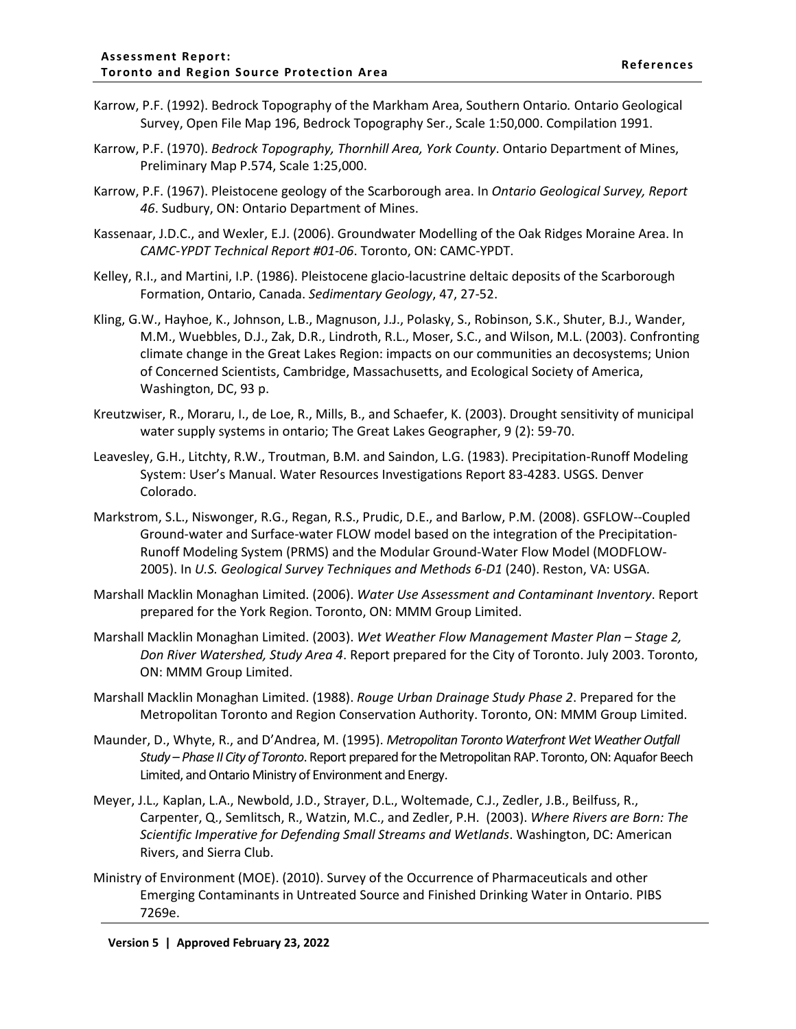- Karrow, P.F. (1992). Bedrock Topography of the Markham Area, Southern Ontario*.* Ontario Geological Survey, Open File Map 196, Bedrock Topography Ser., Scale 1:50,000. Compilation 1991.
- Karrow, P.F. (1970). *Bedrock Topography, Thornhill Area, York County*. Ontario Department of Mines, Preliminary Map P.574, Scale 1:25,000.
- Karrow, P.F. (1967). Pleistocene geology of the Scarborough area. In *Ontario Geological Survey, Report 46*. Sudbury, ON: Ontario Department of Mines.
- Kassenaar, J.D.C., and Wexler, E.J. (2006). Groundwater Modelling of the Oak Ridges Moraine Area. In *CAMC-YPDT Technical Report #01-06*. Toronto, ON: CAMC-YPDT.
- Kelley, R.I., and Martini, I.P. (1986). Pleistocene glacio-lacustrine deltaic deposits of the Scarborough Formation, Ontario, Canada. *Sedimentary Geology*, 47, 27-52.
- Kling, G.W., Hayhoe, K., Johnson, L.B., Magnuson, J.J., Polasky, S., Robinson, S.K., Shuter, B.J., Wander, M.M., Wuebbles, D.J., Zak, D.R., Lindroth, R.L., Moser, S.C., and Wilson, M.L. (2003). Confronting climate change in the Great Lakes Region: impacts on our communities an decosystems; Union of Concerned Scientists, Cambridge, Massachusetts, and Ecological Society of America, Washington, DC, 93 p.
- Kreutzwiser, R., Moraru, I., de Loe, R., Mills, B., and Schaefer, K. (2003). Drought sensitivity of municipal water supply systems in ontario; The Great Lakes Geographer, 9 (2): 59-70.
- Leavesley, G.H., Litchty, R.W., Troutman, B.M. and Saindon, L.G. (1983). Precipitation-Runoff Modeling System: User's Manual. Water Resources Investigations Report 83-4283. USGS. Denver Colorado.
- Markstrom, S.L., Niswonger, R.G., Regan, R.S., Prudic, D.E., and Barlow, P.M. (2008). GSFLOW--Coupled Ground-water and Surface-water FLOW model based on the integration of the Precipitation-Runoff Modeling System (PRMS) and the Modular Ground-Water Flow Model (MODFLOW-2005). In *U.S. Geological Survey Techniques and Methods 6-D1* (240). Reston, VA: USGA.
- Marshall Macklin Monaghan Limited. (2006). *Water Use Assessment and Contaminant Inventory*. Report prepared for the York Region. Toronto, ON: MMM Group Limited.
- Marshall Macklin Monaghan Limited. (2003). *Wet Weather Flow Management Master Plan – Stage 2, Don River Watershed, Study Area 4*. Report prepared for the City of Toronto. July 2003. Toronto, ON: MMM Group Limited.
- Marshall Macklin Monaghan Limited. (1988). *Rouge Urban Drainage Study Phase 2*. Prepared for the Metropolitan Toronto and Region Conservation Authority. Toronto, ON: MMM Group Limited.
- Maunder, D., Whyte, R., and D'Andrea, M. (1995). *Metropolitan Toronto Waterfront Wet Weather Outfall Study – Phase II City of Toronto*. Report prepared for the Metropolitan RAP. Toronto, ON: Aquafor Beech Limited, and Ontario Ministry of Environment and Energy.
- Meyer, J.L.*,* Kaplan, L.A., Newbold, J.D., Strayer, D.L., Woltemade, C.J., Zedler, J.B., Beilfuss, R., Carpenter, Q., Semlitsch, R., Watzin, M.C., and Zedler, P.H. (2003). *Where Rivers are Born: The Scientific Imperative for Defending Small Streams and Wetlands*. Washington, DC: American Rivers, and Sierra Club.
- Ministry of Environment (MOE). (2010). Survey of the Occurrence of Pharmaceuticals and other Emerging Contaminants in Untreated Source and Finished Drinking Water in Ontario. PIBS 7269e.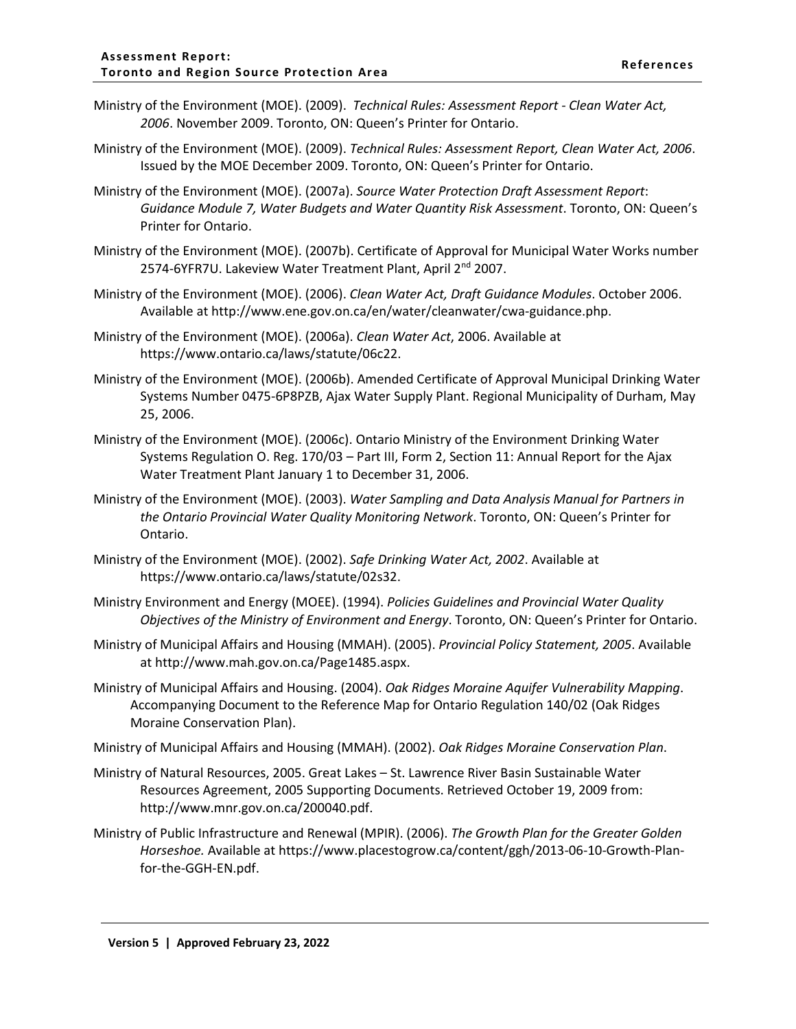- Ministry of the Environment (MOE). (2009). *Technical Rules: Assessment Report - Clean Water Act, 2006*. November 2009. Toronto, ON: Queen's Printer for Ontario.
- Ministry of the Environment (MOE). (2009). *Technical Rules: Assessment Report, Clean Water Act, 2006*. Issued by the MOE December 2009. Toronto, ON: Queen's Printer for Ontario.
- Ministry of the Environment (MOE). (2007a). *Source Water Protection Draft Assessment Report*: *Guidance Module 7, Water Budgets and Water Quantity Risk Assessment*. Toronto, ON: Queen's Printer for Ontario.
- Ministry of the Environment (MOE). (2007b). Certificate of Approval for Municipal Water Works number 2574-6YFR7U. Lakeview Water Treatment Plant, April 2<sup>nd</sup> 2007.
- Ministry of the Environment (MOE). (2006). *Clean Water Act, Draft Guidance Modules*. October 2006. Available at http://www.ene.gov.on.ca/en/water/cleanwater/cwa-guidance.php.
- Ministry of the Environment (MOE). (2006a). *Clean Water Act*, 2006. Available at https://www.ontario.ca/laws/statute/06c22.
- Ministry of the Environment (MOE). (2006b). Amended Certificate of Approval Municipal Drinking Water Systems Number 0475-6P8PZB, Ajax Water Supply Plant. Regional Municipality of Durham, May 25, 2006.
- Ministry of the Environment (MOE). (2006c). Ontario Ministry of the Environment Drinking Water Systems Regulation O. Reg. 170/03 – Part III, Form 2, Section 11: Annual Report for the Ajax Water Treatment Plant January 1 to December 31, 2006.
- Ministry of the Environment (MOE). (2003). *Water Sampling and Data Analysis Manual for Partners in the Ontario Provincial Water Quality Monitoring Network*. Toronto, ON: Queen's Printer for Ontario.
- Ministry of the Environment (MOE). (2002). *Safe Drinking Water Act, 2002*. Available at https://www.ontario.ca/laws/statute/02s32.
- Ministry Environment and Energy (MOEE). (1994). *Policies Guidelines and Provincial Water Quality Objectives of the Ministry of Environment and Energy*. Toronto, ON: Queen's Printer for Ontario.
- Ministry of Municipal Affairs and Housing (MMAH). (2005). *Provincial Policy Statement, 2005*. Available at http://www.mah.gov.on.ca/Page1485.aspx.
- Ministry of Municipal Affairs and Housing. (2004). *Oak Ridges Moraine Aquifer Vulnerability Mapping*. Accompanying Document to the Reference Map for Ontario Regulation 140/02 (Oak Ridges Moraine Conservation Plan).
- Ministry of Municipal Affairs and Housing (MMAH). (2002). *Oak Ridges Moraine Conservation Plan*.
- Ministry of Natural Resources, 2005. Great Lakes St. Lawrence River Basin Sustainable Water Resources Agreement, 2005 Supporting Documents. Retrieved October 19, 2009 from: [http://www.mnr.gov.on.ca/200040.pdf.](http://www.mnr.gov.on.ca/200040.pdf)
- Ministry of Public Infrastructure and Renewal (MPIR). (2006). *The Growth Plan for the Greater Golden Horseshoe.* Available at https://www.placestogrow.ca/content/ggh/2013-06-10-Growth-Planfor-the-GGH-EN.pdf.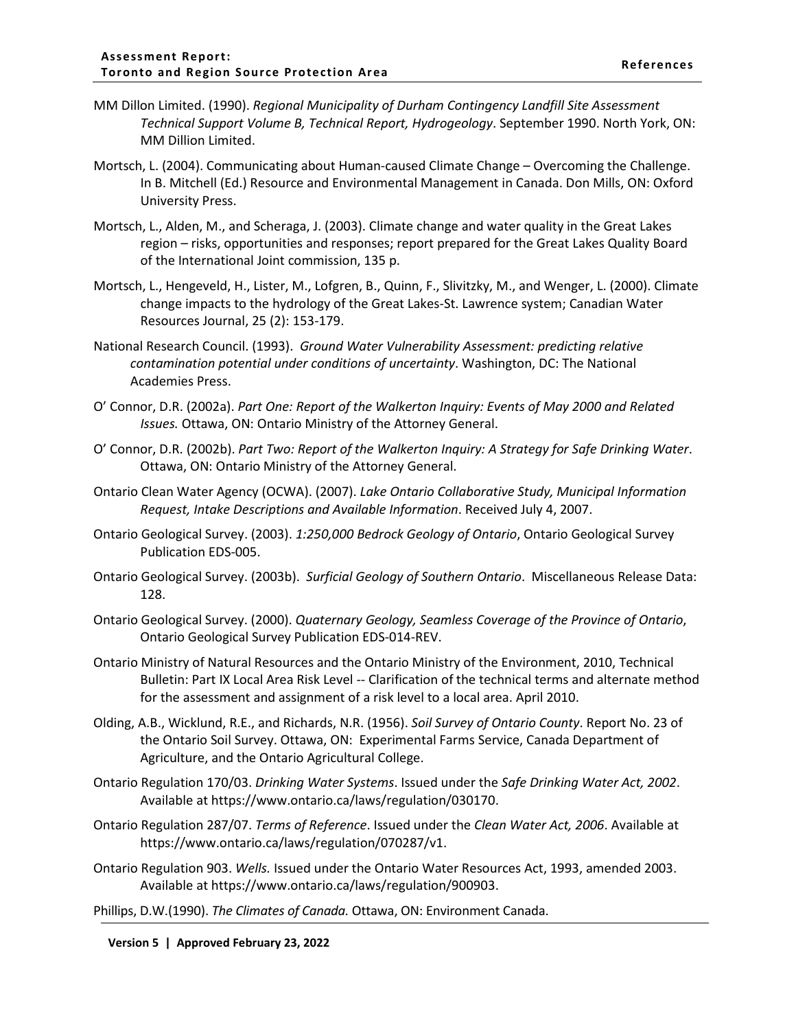- MM Dillon Limited. (1990). *Regional Municipality of Durham Contingency Landfill Site Assessment Technical Support Volume B, Technical Report, Hydrogeology*. September 1990. North York, ON: MM Dillion Limited.
- Mortsch, L. (2004). Communicating about Human-caused Climate Change Overcoming the Challenge. In B. Mitchell (Ed.) Resource and Environmental Management in Canada. Don Mills, ON: Oxford University Press.
- Mortsch, L., Alden, M., and Scheraga, J. (2003). Climate change and water quality in the Great Lakes region – risks, opportunities and responses; report prepared for the Great Lakes Quality Board of the International Joint commission, 135 p.
- Mortsch, L., Hengeveld, H., Lister, M., Lofgren, B., Quinn, F., Slivitzky, M., and Wenger, L. (2000). Climate change impacts to the hydrology of the Great Lakes-St. Lawrence system; Canadian Water Resources Journal, 25 (2): 153-179.
- National Research Council. (1993). *Ground Water Vulnerability Assessment: predicting relative contamination potential under conditions of uncertainty*. Washington, DC: The National Academies Press.
- O' Connor, D.R. (2002a). *Part One: Report of the Walkerton Inquiry: Events of May 2000 and Related Issues.* Ottawa, ON: Ontario Ministry of the Attorney General.
- O' Connor, D.R. (2002b). *Part Two: Report of the Walkerton Inquiry: A Strategy for Safe Drinking Water*. Ottawa, ON: Ontario Ministry of the Attorney General.
- Ontario Clean Water Agency (OCWA). (2007). *Lake Ontario Collaborative Study, Municipal Information Request, Intake Descriptions and Available Information*. Received July 4, 2007.
- Ontario Geological Survey. (2003). *1:250,000 Bedrock Geology of Ontario*, Ontario Geological Survey Publication EDS-005.
- Ontario Geological Survey. (2003b). *Surficial Geology of Southern Ontario*. Miscellaneous Release Data: 128.
- Ontario Geological Survey. (2000). *Quaternary Geology, Seamless Coverage of the Province of Ontario*, Ontario Geological Survey Publication EDS-014-REV.
- Ontario Ministry of Natural Resources and the Ontario Ministry of the Environment, 2010, Technical Bulletin: Part IX Local Area Risk Level -- Clarification of the technical terms and alternate method for the assessment and assignment of a risk level to a local area. April 2010.
- Olding, A.B., Wicklund, R.E., and Richards, N.R. (1956). *Soil Survey of Ontario County*. Report No. 23 of the Ontario Soil Survey. Ottawa, ON: Experimental Farms Service, Canada Department of Agriculture, and the Ontario Agricultural College.
- Ontario Regulation 170/03. *Drinking Water Systems*. Issued under the *Safe Drinking Water Act, 2002*. Available at https://www.ontario.ca/laws/regulation/030170.
- Ontario Regulation 287/07. *Terms of Reference*. Issued under the *Clean Water Act, 2006*. Available at https://www.ontario.ca/laws/regulation/070287/v1.
- Ontario Regulation 903. *Wells.* Issued under the Ontario Water Resources Act, 1993, amended 2003. Available at https://www.ontario.ca/laws/regulation/900903.

Phillips, D.W.(1990). *The Climates of Canada.* Ottawa, ON: Environment Canada.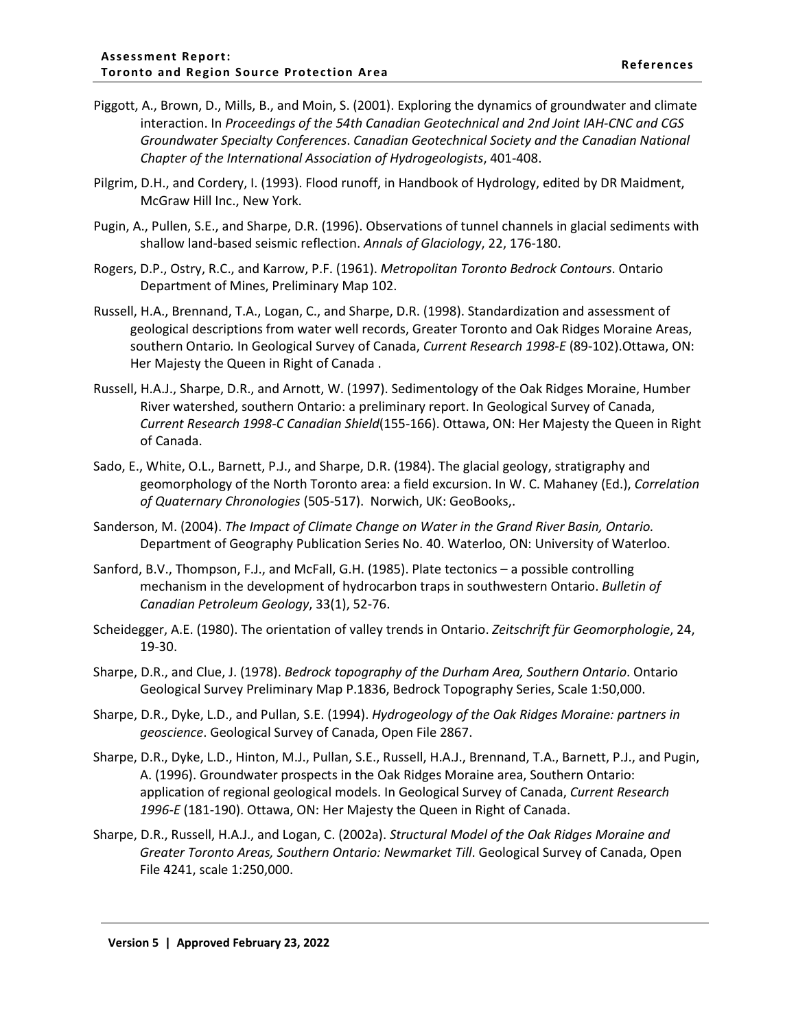- Piggott, A., Brown, D., Mills, B., and Moin, S. (2001). Exploring the dynamics of groundwater and climate interaction. In *Proceedings of the 54th Canadian Geotechnical and 2nd Joint IAH-CNC and CGS Groundwater Specialty Conferences*. *Canadian Geotechnical Society and the Canadian National Chapter of the International Association of Hydrogeologists*, 401-408.
- Pilgrim, D.H., and Cordery, I. (1993). Flood runoff, in Handbook of Hydrology, edited by DR Maidment, McGraw Hill Inc., New York.
- Pugin, A., Pullen, S.E., and Sharpe, D.R. (1996). Observations of tunnel channels in glacial sediments with shallow land-based seismic reflection. *Annals of Glaciology*, 22, 176-180.
- Rogers, D.P., Ostry, R.C., and Karrow, P.F. (1961). *Metropolitan Toronto Bedrock Contours*. Ontario Department of Mines, Preliminary Map 102.
- Russell, H.A., Brennand, T.A., Logan, C., and Sharpe, D.R. (1998). Standardization and assessment of geological descriptions from water well records, Greater Toronto and Oak Ridges Moraine Areas, southern Ontario*.* In Geological Survey of Canada, *Current Research 1998-E* (89-102).Ottawa, ON: Her Majesty the Queen in Right of Canada .
- Russell, H.A.J., Sharpe, D.R., and Arnott, W. (1997). Sedimentology of the Oak Ridges Moraine, Humber River watershed, southern Ontario: a preliminary report. In Geological Survey of Canada, *Current Research 1998-C Canadian Shield*(155-166). Ottawa, ON: Her Majesty the Queen in Right of Canada.
- Sado, E., White, O.L., Barnett, P.J., and Sharpe, D.R. (1984). The glacial geology, stratigraphy and geomorphology of the North Toronto area: a field excursion. In W. C. Mahaney (Ed.), *Correlation of Quaternary Chronologies* (505-517). Norwich, UK: GeoBooks,.
- Sanderson, M. (2004). *The Impact of Climate Change on Water in the Grand River Basin, Ontario.*  Department of Geography Publication Series No. 40. Waterloo, ON: University of Waterloo.
- Sanford, B.V., Thompson, F.J., and McFall, G.H. (1985). Plate tectonics a possible controlling mechanism in the development of hydrocarbon traps in southwestern Ontario. *Bulletin of Canadian Petroleum Geology*, 33(1), 52-76.
- Scheidegger, A.E. (1980). The orientation of valley trends in Ontario. *Zeitschrift für Geomorphologie*, 24, 19-30.
- Sharpe, D.R., and Clue, J. (1978). *Bedrock topography of the Durham Area, Southern Ontario*. Ontario Geological Survey Preliminary Map P.1836, Bedrock Topography Series, Scale 1:50,000.
- Sharpe, D.R., Dyke, L.D., and Pullan, S.E. (1994). *Hydrogeology of the Oak Ridges Moraine: partners in geoscience*. Geological Survey of Canada, Open File 2867.
- Sharpe, D.R., Dyke, L.D., Hinton, M.J., Pullan, S.E., Russell, H.A.J., Brennand, T.A., Barnett, P.J., and Pugin, A. (1996). Groundwater prospects in the Oak Ridges Moraine area, Southern Ontario: application of regional geological models. In Geological Survey of Canada, *Current Research 1996-E* (181-190). Ottawa, ON: Her Majesty the Queen in Right of Canada.
- Sharpe, D.R., Russell, H.A.J., and Logan, C. (2002a). *Structural Model of the Oak Ridges Moraine and Greater Toronto Areas, Southern Ontario: Newmarket Till*. Geological Survey of Canada, Open File 4241, scale 1:250,000.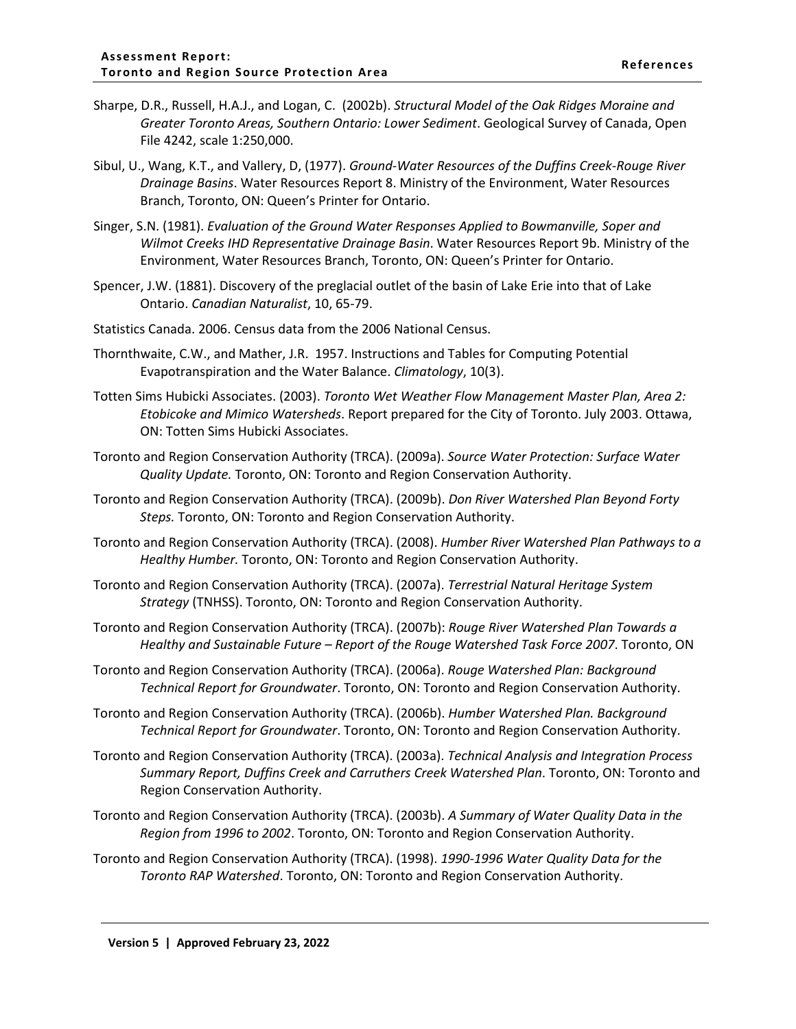- Sharpe, D.R., Russell, H.A.J., and Logan, C. (2002b). *Structural Model of the Oak Ridges Moraine and Greater Toronto Areas, Southern Ontario: Lower Sediment*. Geological Survey of Canada, Open File 4242, scale 1:250,000.
- Sibul, U., Wang, K.T., and Vallery, D, (1977). *Ground-Water Resources of the Duffins Creek-Rouge River Drainage Basins*. Water Resources Report 8. Ministry of the Environment, Water Resources Branch, Toronto, ON: Queen's Printer for Ontario.
- Singer, S.N. (1981). *Evaluation of the Ground Water Responses Applied to Bowmanville, Soper and Wilmot Creeks IHD Representative Drainage Basin*. Water Resources Report 9b. Ministry of the Environment, Water Resources Branch, Toronto, ON: Queen's Printer for Ontario.
- Spencer, J.W. (1881). Discovery of the preglacial outlet of the basin of Lake Erie into that of Lake Ontario. *Canadian Naturalist*, 10, 65-79.
- Statistics Canada. 2006. Census data from the 2006 National Census.
- Thornthwaite, C.W., and Mather, J.R. 1957. Instructions and Tables for Computing Potential Evapotranspiration and the Water Balance. *Climatology*, 10(3).
- Totten Sims Hubicki Associates. (2003). *Toronto Wet Weather Flow Management Master Plan, Area 2: Etobicoke and Mimico Watersheds*. Report prepared for the City of Toronto. July 2003. Ottawa, ON: Totten Sims Hubicki Associates.
- Toronto and Region Conservation Authority (TRCA). (2009a). *Source Water Protection: Surface Water Quality Update.* Toronto, ON: Toronto and Region Conservation Authority.
- Toronto and Region Conservation Authority (TRCA). (2009b). *Don River Watershed Plan Beyond Forty Steps.* Toronto, ON: Toronto and Region Conservation Authority.
- Toronto and Region Conservation Authority (TRCA). (2008). *Humber River Watershed Plan Pathways to a Healthy Humber.* Toronto, ON: Toronto and Region Conservation Authority.
- Toronto and Region Conservation Authority (TRCA). (2007a). *Terrestrial Natural Heritage System Strategy* (TNHSS). Toronto, ON: Toronto and Region Conservation Authority.
- Toronto and Region Conservation Authority (TRCA). (2007b): *Rouge River Watershed Plan Towards a Healthy and Sustainable Future – Report of the Rouge Watershed Task Force 2007*. Toronto, ON
- Toronto and Region Conservation Authority (TRCA). (2006a). *Rouge Watershed Plan: Background Technical Report for Groundwater*. Toronto, ON: Toronto and Region Conservation Authority.
- Toronto and Region Conservation Authority (TRCA). (2006b). *Humber Watershed Plan. Background Technical Report for Groundwater*. Toronto, ON: Toronto and Region Conservation Authority.
- Toronto and Region Conservation Authority (TRCA). (2003a). *Technical Analysis and Integration Process Summary Report, Duffins Creek and Carruthers Creek Watershed Plan*. Toronto, ON: Toronto and Region Conservation Authority.
- Toronto and Region Conservation Authority (TRCA). (2003b). *A Summary of Water Quality Data in the Region from 1996 to 2002*. Toronto, ON: Toronto and Region Conservation Authority.
- Toronto and Region Conservation Authority (TRCA). (1998). *1990-1996 Water Quality Data for the Toronto RAP Watershed*. Toronto, ON: Toronto and Region Conservation Authority.